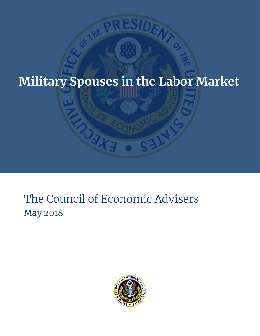# **Military Spouses in the Labor Market**

# The Council of Economic Advisers May 2018

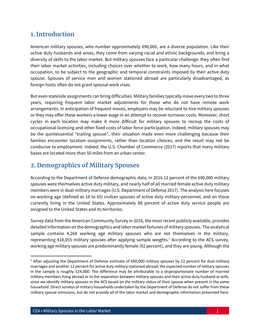#### **1. Introduction**

American military spouses, who number approximately 690,000, are a diverse population. Like their active duty husbands and wives, they come from varying racial and ethnic backgrounds, and bring a diversity of skills to the labor market. But military spouses face a particular challenge: they often find their labor market activities, including choices over whether to work, how many hours, and in what occupation, to be subject to the geographic and temporal constraints imposed by their active duty spouse. Spouses of service men and women stationed abroad are particularly disadvantaged, as foreign hosts often do not grant spousal work visas.

But even stateside assignments can bring difficulties. Military families typically move every two to three years, requiring frequent labor market adjustments for those who do not have remote work arrangements. In anticipation of frequent moves, employers may be reluctant to hire military spouses or they may offer these workers a lower wage in an attempt to recover turnover costs. Moreover, short cycles in each location may make it more difficult for military spouses to recoup the costs of occupational licensing and other fixed costs of labor force participation. Indeed, military spouses may be the quintessential "trailing spouse", their situation made even more challenging because their families encounter location *assignments*, rather than location choices, and the result may not be conducive to employment. Indeed, the U.S. Chamber of Commerce (2017) reports that many military bases are located more than 50 miles from an urban center.

#### **2. Demographics of Military Spouses**

According to the Department of Defense demographic data, in 2016 12 percent of the 690,000 military spouses were themselves active duty military, and nearly half of all married female active duty military members were in dual-military marriages (U.S. Department of Defense 2017). The analysis here focuses on working age (defined as 18 to 65) civilian spouses of active duty military personnel, and on those currently living in the United States. Approximately 88 percent of active duty service people are assigned to the United States and its territories.

Survey data from the American Community Survey in 2016, the most recent publicly available, provides detailed information on the demographics and labor market fortunes of military spouses. The analytical sample contains 4,268 working age military spouses who are not themselves in the military, representing 418,055 military spouses after applying sample weights.<sup>1</sup> According to the ACS survey, working age military spouses are predominantly female (92 percent), and they are young. Although the

 $1$  After adjusting the Department of Defense estimate of 690,000 military spouses by 12 percent for dual-military marriages and another 12 percent for active duty military stationed abroad, the expected number of military spouses in the sample is roughly 524,000. The difference may be attributable to a disproportionate number of married military members living abroad or to the separation between military spouses and their active duty husband or wife, since we identify military spouses in the ACS based on the military status of their spouse when present in the same household. Direct surveys of military households undertaken by the Department of Defense do not suffer from these military spouse omissions, but do not provide all of the labor market and demographic information presented here.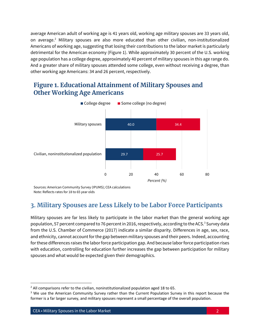average American adult of working age is 41 years old, working age military spouses are 33 years old, on average. <sup>2</sup> Military spouses are also more educated than other civilian, non-institutionalized Americans of working age, suggesting that losing their contributions to the labor market is particularly detrimental for the American economy (Figure 1). While approximately 30 percent of the U.S. working age population has a college degree, approximately 40 percent of military spouses in this age range do. And a greater share of military spouses attended some college, even without receiving a degree, than other working age Americans: 34 and 26 percent, respectively.

#### **Figure 1. Educational Attainment of Military Spouses and Other Working Age Americans**



Sources: American Community Survey (IPUMS); CEA calculations Note: Reflects rates for 18 to 65 year olds

# **3. Military Spouses are Less Likely to be Labor Force Participants**

Military spouses are far less likely to participate in the labor market than the general working age population, 57 percent compared to 76 percent in 2016, respectively, according to the ACS.<sup>3</sup> Survey data from the U.S. Chamber of Commerce (2017) indicate a similar disparity. Differences in age, sex, race, and ethnicity, cannot account for the gap between military spouses and their peers. Indeed, accounting for these differences raises the labor force participation gap. And because labor force participation rises with education, controlling for education further increases the gap between participation for military spouses and what would be expected given their demographics.

 $2$  All comparisons refer to the civilian, noninstitutionalized population aged 18 to 65.

<sup>&</sup>lt;sup>3</sup> We use the American Community Survey rather than the Current Population Survey in this report because the former is a far larger survey, and military spouses represent a small percentage of the overall population.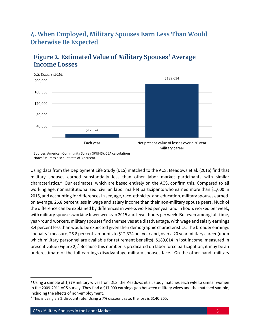## **4. When Employed, Military Spouses Earn Less Than Would Otherwise Be Expected**



# **Figure 2. Estimated Value of Military Spouses' Average Income Losses**

Sources: American Community Survey (IPUMS); CEA calculations. Note: Assumes discount rate of 3 percent.

Using data from the Deployment Life Study (DLS) matched to the ACS, Meadows et al. (2016) find that military spouses earned substantially less than other labor market participants with similar characteristics.<sup>4</sup> Our estimates, which are based entirely on the ACS, confirm this. Compared to all working age, noninstitutionalized, civilian labor market participants who earned more than \$1,000 in 2015, and accounting for differences in sex, age, race, ethnicity, and education, military spouses earned, on average, 26.8 percent less in wage and salary income than their non-military spouse peers. Much of the difference can be explained by differences in weeks worked per year and in hours worked per week, with military spouses working fewer weeks in 2015 and fewer hours per week. But even among full-time, year-round workers, military spouses find themselves at a disadvantage, with wage and salary earnings 3.4 percent less than would be expected given their demographic characteristics. The broader earnings "penalty" measure, 26.8 percent, amounts to \$12,374 per year and, over a 20 year military career (upon which military personnel are available for retirement benefits), \$189,614 in lost income, measured in present value (Figure 2).<sup>5</sup> Because this number is predicated on labor force participation, it may be an underestimate of the full earnings disadvantage military spouses face. On the other hand, military

<sup>4</sup> Using a sample of 1,779 military wives from DLS, the Meadows et al. study matches each wife to similar women in the 2009-2011 ACS survey. They find a \$17,000 earnings gap between military wives and the matched sample, including the effects of non-employment.

<sup>&</sup>lt;sup>5</sup> This is using a 3% discount rate. Using a 7% discount rate, the loss is \$140,265.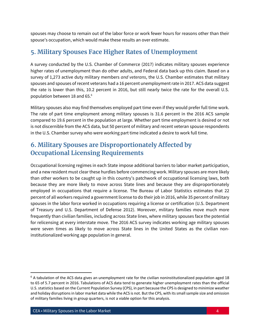spouses may choose to remain out of the labor force or work fewer hours for reasons other than their spouse's occupation, which would make these results an over estimate.

# **5. Military Spouses Face Higher Rates of Unemployment**

A survey conducted by the U.S. Chamber of Commerce (2017) indicates military spouses experience higher rates of unemployment than do other adults, and Federal data back up this claim. Based on a survey of 1,273 active duty military members *and veterans*, the U.S. Chamber estimates that military spouses and spouses of recent veterans had a 16 percent unemployment rate in 2017. ACS data suggest the rate is lower than this, 10.2 percent in 2016, but still nearly twice the rate for the overall U.S. population between 18 and 65.<sup>6</sup>

Military spouses also may find themselves employed part time even if they would prefer full time work. The rate of part time employment among military spouses is 31.6 percent in the 2016 ACS sample compared to 19.6 percent in the population at large. Whether part time employment is desired or not is not discernible from the ACS data, but 50 percent of military and recent veteran spouse respondents in the U.S. Chamber survey who were working part time indicated a desire to work full time.

# **6. Military Spouses are Disproportionately Affected by Occupational Licensing Requirements**

Occupational licensing regimes in each State impose additional barriers to labor market participation, and a new resident must clear these hurdles before commencing work. Military spouses are more likely than other workers to be caught up in this country's patchwork of occupational licensing laws, both because they are more likely to move across State lines and because they are disproportionately employed in occupations that require a license. The Bureau of Labor Statistics estimates that 22 percent of all workers required a government license to do their job in 2016, while 35 percent of military spouses in the labor force worked in occupations requiring a license or certification (U.S. Department of Treasury and U.S. Department of Defense 2012). Moreover, military families move much more frequently than civilian families, including across State lines, where military spouses face the potential for relicensing at every interstate move. The 2016 ACS survey indicates working age military spouses were seven times as likely to move across State lines in the United States as the civilian noninstitutionalized working age population in general.

 $6$  A tabulation of the ACS data gives an unemployment rate for the civilian noninstitutionalized population aged 18 to 65 of 5.7 percent in 2016. Tabulations of ACS data tend to generate higher unemployment rates than the official U.S. statistics based on the Current Population Survey (CPS), in part because the CPS is designed to minimize weather and holiday disruptions in labor market data while the ACS is not. But the CPS, with its small sample size and omission of military families living in group quarters, is not a viable option for this analysis.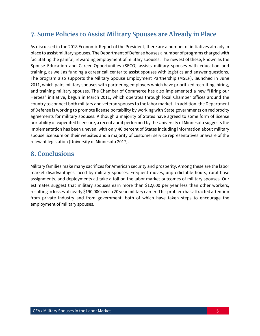## **7. Some Policies to Assist Military Spouses are Already in Place**

As discussed in the 2018 Economic Report of the President, there are a number of initiatives already in place to assist military spouses. The Department of Defense houses a number of programs charged with facilitating the gainful, rewarding employment of military spouses. The newest of these, known as the Spouse Education and Career Opportunities (SECO) assists military spouses with education and training, as well as funding a career call center to assist spouses with logistics and answer questions. The program also supports the Military Spouse Employment Partnership (MSEP), launched in June 2011, which pairs military spouses with partnering employers which have prioritized recruiting, hiring, and training military spouses. The Chamber of Commerce has also implemented a new "Hiring our Heroes" initiative, begun in March 2011, which operates through local Chamber offices around the country to connect both military and veteran spouses to the labor market. In addition, the Department of Defense is working to promote license portability by working with State governments on reciprocity agreements for military spouses. Although a majority of States have agreed to some form of license portability or expedited licensure, a recent audit performed by the University of Minnesota suggests the implementation has been uneven, with only 40 percent of States including information about military spouse licensure on their websites and a majority of customer service representatives unaware of the relevant legislation (University of Minnesota 2017).

#### **8. Conclusions**

Military families make many sacrifices for American security and prosperity. Among these are the labor market disadvantages faced by military spouses. Frequent moves, unpredictable hours, rural base assignments, and deployments all take a toll on the labor market outcomes of military spouses. Our estimates suggest that military spouses earn more than \$12,000 per year less than other workers, resulting in losses of nearly \$190,000 over a 20 year military career. This problem has attracted attention from private industry and from government, both of which have taken steps to encourage the employment of military spouses.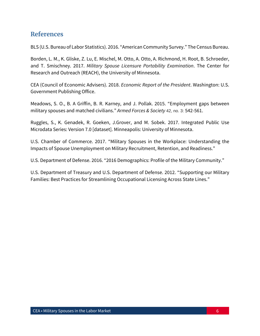#### **References**

BLS (U.S. Bureau of Labor Statistics). 2016. "American Community Survey." The Census Bureau.

Borden, L. M., K. Gliske, Z. Lu, E. Mischel, M. Otto, A. Otto, A. Richmond, H. Root, B. Schroeder, and T. Smischney. 2017. *Military Spouse Licensure Portability Examination*. The Center for Research and Outreach (REACH), the University of Minnesota.

CEA (Council of Economic Advisers). 2018. *Economic Report of the President*. Washington: U.S. Government Publishing Office.

Meadows, S. O., B. A Griffin, B. R. Karney, and J. Pollak. 2015. "Employment gaps between military spouses and matched civilians." *Armed Forces & Society* 42, no. 3: 542-561.

Ruggles, S., K. Genadek, R. Goeken, J.Grover, and M. Sobek. 2017. Integrated Public Use Microdata Series: Version 7.0 [dataset]. Minneapolis: University of Minnesota.

U.S. Chamber of Commerce. 2017. "Military Spouses in the Workplace: Understanding the Impacts of Spouse Unemployment on Military Recruitment, Retention, and Readiness."

U.S. Department of Defense. 2016. "2016 Demographics: Profile of the Military Community."

U.S. Department of Treasury and U.S. Department of Defense. 2012. "Supporting our Military Families: Best Practices for Streamlining Occupational Licensing Across State Lines."